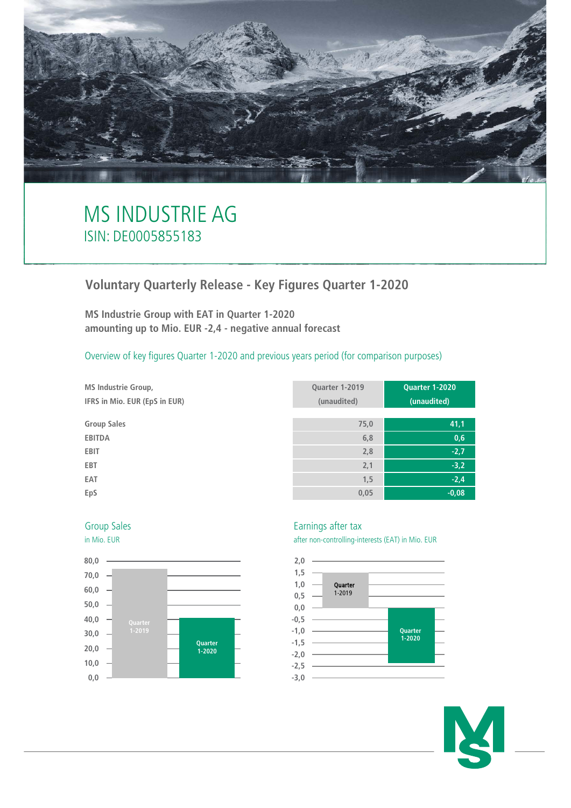

# MS INDUSTRIE AG ISIN: DE0005855183

## **Voluntary Quarterly Release - Key Figures Quarter 1-2020**

**MS Industrie Group with EAT in Quarter 1-2020 amounting up to Mio. EUR -2,4 - negative annual forecast**

Overview of key figures Quarter 1-2020 and previous years period (for comparison purposes)

**MS Industrie Group, Quarter 1-2019 Quarter 1-2020 IFRS in Mio. EUR (EpS in EUR) (unaudited) (unaudited) Group Sales 75,0 41,1 EBITDA 6,8 0,6 EBIT 2,8 -2,7 EBT 2,1 -3,2 EAT 1,5 -2,4 EpS 0,05 -0,08**





### Group Sales **Earnings** after tax

in Mio. EUR after non-controlling-interests (EAT) in Mio. EUR



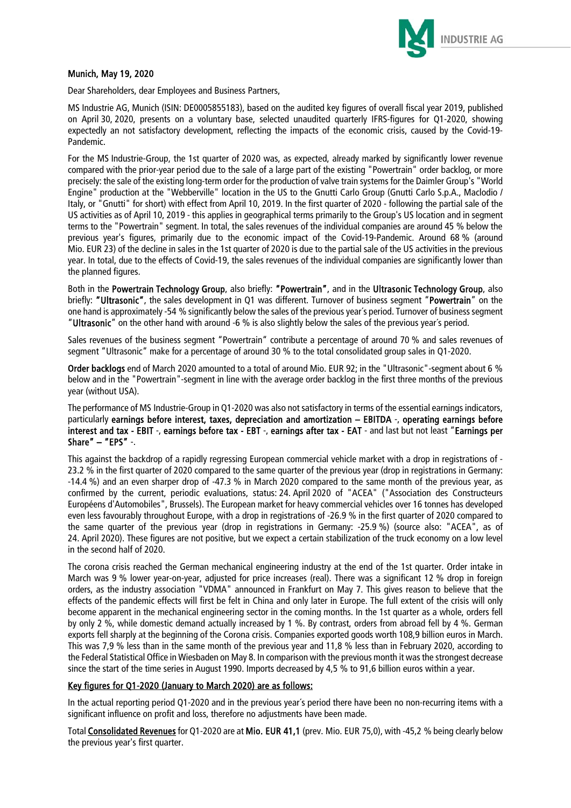

## Munich, May 19, 2020

Dear Shareholders, dear Employees and Business Partners,

MS Industrie AG, Munich (ISIN: DE0005855183), based on the audited key figures of overall fiscal year 2019, published on April 30, 2020, presents on a voluntary base, selected unaudited quarterly IFRS-figures for Q1-2020, showing expectedly an not satisfactory development, reflecting the impacts of the economic crisis, caused by the Covid-19- Pandemic.

For the MS Industrie-Group, the 1st quarter of 2020 was, as expected, already marked by significantly lower revenue compared with the prior-year period due to the sale of a large part of the existing "Powertrain" order backlog, or more precisely: the sale of the existing long-term order for the production of valve train systems for the Daimler Group's "World Engine" production at the "Webberville" location in the US to the Gnutti Carlo Group (Gnutti Carlo S.p.A., Maclodio / Italy, or "Gnutti" for short) with effect from April 10, 2019. In the first quarter of 2020 - following the partial sale of the US activities as of April 10, 2019 - this applies in geographical terms primarily to the Group's US location and in segment terms to the "Powertrain" segment. In total, the sales revenues of the individual companies are around 45 % below the previous year's figures, primarily due to the economic impact of the Covid-19-Pandemic. Around 68 % (around Mio. EUR 23) of the decline in sales in the 1st quarter of 2020 is due to the partial sale of the US activities in the previous year. In total, due to the effects of Covid-19, the sales revenues of the individual companies are significantly lower than the planned figures.

Both in the Powertrain Technology Group, also briefly: "Powertrain", and in the Ultrasonic Technology Group, also briefly: "Ultrasonic", the sales development in Q1 was different. Turnover of business segment "Powertrain" on the one hand is approximately -54 % significantly below the sales of the previous year´s period. Turnover of business segment "Ultrasonic" on the other hand with around -6 % is also slightly below the sales of the previous year´s period.

Sales revenues of the business segment "Powertrain" contribute a percentage of around 70 % and sales revenues of segment "Ultrasonic" make for a percentage of around 30 % to the total consolidated group sales in Q1-2020.

Order backlogs end of March 2020 amounted to a total of around Mio. EUR 92; in the "Ultrasonic"-segment about 6 % below and in the "Powertrain"-segment in line with the average order backlog in the first three months of the previous year (without USA).

The performance of MS Industrie-Group in Q1-2020 was also not satisfactory in terms of the essential earnings indicators, particularly earnings before interest, taxes, depreciation and amortization – EBITDA -, operating earnings before interest and tax - EBIT -, earnings before tax - EBT -, earnings after tax - EAT - and last but not least "Earnings per Share" – "EPS" -.

This against the backdrop of a rapidly regressing European commercial vehicle market with a drop in registrations of - 23.2 % in the first quarter of 2020 compared to the same quarter of the previous year (drop in registrations in Germany: -14.4 %) and an even sharper drop of -47.3 % in March 2020 compared to the same month of the previous year, as confirmed by the current, periodic evaluations, status: 24. April 2020 of "ACEA" ("Association des Constructeurs Européens d'Automobiles", Brussels). The European market for heavy commercial vehicles over 16 tonnes has developed even less favourably throughout Europe, with a drop in registrations of -26.9 % in the first quarter of 2020 compared to the same quarter of the previous year (drop in registrations in Germany: -25.9 %) (source also: "ACEA", as of 24. April 2020). These figures are not positive, but we expect a certain stabilization of the truck economy on a low level in the second half of 2020.

The corona crisis reached the German mechanical engineering industry at the end of the 1st quarter. Order intake in March was 9 % lower year-on-year, adjusted for price increases (real). There was a significant 12 % drop in foreign orders, as the industry association "VDMA" announced in Frankfurt on May 7. This gives reason to believe that the effects of the pandemic effects will first be felt in China and only later in Europe. The full extent of the crisis will only become apparent in the mechanical engineering sector in the coming months. In the 1st quarter as a whole, orders fell by only 2 %, while domestic demand actually increased by 1 %. By contrast, orders from abroad fell by 4 %. German exports fell sharply at the beginning of the Corona crisis. Companies exported goods worth 108,9 billion euros in March. This was 7,9 % less than in the same month of the previous year and 11,8 % less than in February 2020, according to the Federal Statistical Office in Wiesbaden on May 8. In comparison with the previous month it was the strongest decrease since the start of the time series in August 1990. Imports decreased by 4,5 % to 91,6 billion euros within a year.

## Key figures for Q1-2020 (January to March 2020) are as follows:

In the actual reporting period Q1-2020 and in the previous year´s period there have been no non-recurring items with a significant influence on profit and loss, therefore no adjustments have been made.

Total Consolidated Revenues for Q1-2020 are at Mio. EUR 41,1 (prev. Mio. EUR 75,0), with -45,2 % being clearly below the previous year's first quarter.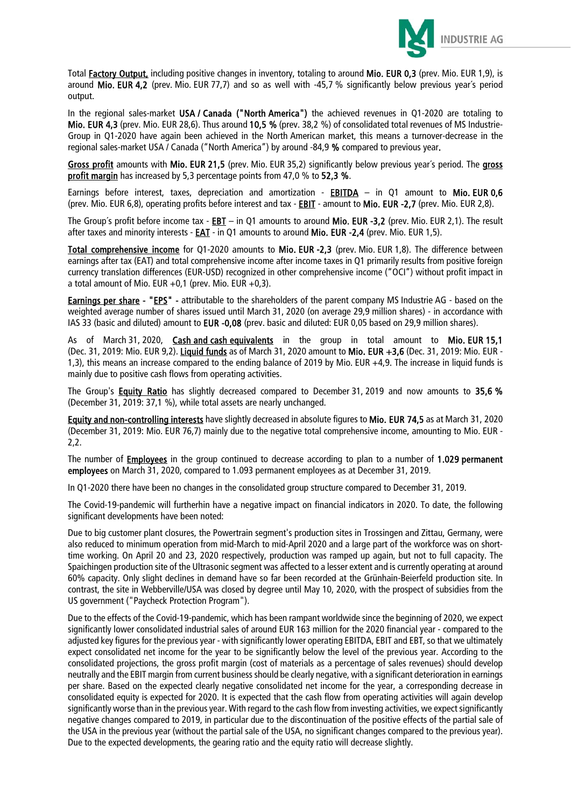

Total Factory Output, including positive changes in inventory, totaling to around Mio. EUR 0,3 (prev. Mio. EUR 1,9), is around Mio. EUR 4,2 (prev. Mio. EUR 77,7) and so as well with -45,7 % significantly below previous year´s period output.

In the regional sales-market USA / Canada ("North America") the achieved revenues in Q1-2020 are totaling to Mio. EUR 4,3 (prev. Mio. EUR 28,6). Thus around 10,5 % (prev. 38,2 %) of consolidated total revenues of MS Industrie-Group in Q1-2020 have again been achieved in the North American market, this means a turnover-decrease in the regional sales-market USA / Canada ("North America") by around -84,9 % compared to previous year.

Gross profit amounts with Mio. EUR 21,5 (prev. Mio. EUR 35,2) significantly below previous year´s period. The gross profit margin has increased by 5,3 percentage points from 47,0 % to 52.3 %.

Earnings before interest, taxes, depreciation and amortization - EBITDA  $-$  in Q1 amount to Mio. EUR 0,6 (prev. Mio. EUR 6,8), operating profits before interest and tax - **EBIT** - amount to Mio. EUR -2,7 (prev. Mio. EUR 2,8).

The Group's profit before income tax -  $EBT -$  in Q1 amounts to around Mio. EUR -3,2 (prev. Mio. EUR 2,1). The result after taxes and minority interests - EAT - in Q1 amounts to around Mio. EUR -2,4 (prev. Mio. EUR 1,5).

Total comprehensive income for Q1-2020 amounts to Mio. EUR -2,3 (prev. Mio. EUR 1,8). The difference between earnings after tax (EAT) and total comprehensive income after income taxes in Q1 primarily results from positive foreign currency translation differences (EUR-USD) recognized in other comprehensive income ("OCI") without profit impact in a total amount of Mio. EUR  $+0.1$  (prev. Mio. EUR  $+0.3$ ).

Earnings per share - "EPS" - attributable to the shareholders of the parent company MS Industrie AG - based on the weighted average number of shares issued until March 31, 2020 (on average 29,9 million shares) - in accordance with IAS 33 (basic and diluted) amount to EUR -0,08 (prev. basic and diluted: EUR 0,05 based on 29,9 million shares).

As of March 31, 2020, Cash and cash equivalents in the group in total amount to Mio. EUR 15,1 (Dec. 31, 2019: Mio. EUR 9,2). Liquid funds as of March 31, 2020 amount to Mio. EUR +3,6 (Dec. 31, 2019: Mio. EUR -1,3), this means an increase compared to the ending balance of 2019 by Mio. EUR +4,9. The increase in liquid funds is mainly due to positive cash flows from operating activities.

The Group's Equity Ratio has slightly decreased compared to December 31, 2019 and now amounts to 35,6 % (December 31, 2019: 37,1 %), while total assets are nearly unchanged.

Equity and non-controlling interests have slightly decreased in absolute figures to Mio. EUR 74,5 as at March 31, 2020 (December 31, 2019: Mio. EUR 76,7) mainly due to the negative total comprehensive income, amounting to Mio. EUR - 2,2.

The number of **Employees** in the group continued to decrease according to plan to a number of 1.029 permanent employees on March 31, 2020, compared to 1.093 permanent employees as at December 31, 2019.

In Q1-2020 there have been no changes in the consolidated group structure compared to December 31, 2019.

The Covid-19-pandemic will furtherhin have a negative impact on financial indicators in 2020. To date, the following significant developments have been noted:

Due to big customer plant closures, the Powertrain segment's production sites in Trossingen and Zittau, Germany, were also reduced to minimum operation from mid-March to mid-April 2020 and a large part of the workforce was on shorttime working. On April 20 and 23, 2020 respectively, production was ramped up again, but not to full capacity. The Spaichingen production site of the Ultrasonic segment was affected to a lesser extent and is currently operating at around 60% capacity. Only slight declines in demand have so far been recorded at the Grünhain-Beierfeld production site. In contrast, the site in Webberville/USA was closed by degree until May 10, 2020, with the prospect of subsidies from the US government ("Paycheck Protection Program").

Due to the effects of the Covid-19-pandemic, which has been rampant worldwide since the beginning of 2020, we expect significantly lower consolidated industrial sales of around EUR 163 million for the 2020 financial year - compared to the adjusted key figures for the previous year - with significantly lower operating EBITDA, EBIT and EBT, so that we ultimately expect consolidated net income for the year to be significantly below the level of the previous year. According to the consolidated projections, the gross profit margin (cost of materials as a percentage of sales revenues) should develop neutrally and the EBIT margin from current business should be clearly negative, with a significant deterioration in earnings per share. Based on the expected clearly negative consolidated net income for the year, a corresponding decrease in consolidated equity is expected for 2020. It is expected that the cash flow from operating activities will again develop significantly worse than in the previous year. With regard to the cash flow from investing activities, we expect significantly negative changes compared to 2019, in particular due to the discontinuation of the positive effects of the partial sale of the USA in the previous year (without the partial sale of the USA, no significant changes compared to the previous year). Due to the expected developments, the gearing ratio and the equity ratio will decrease slightly.